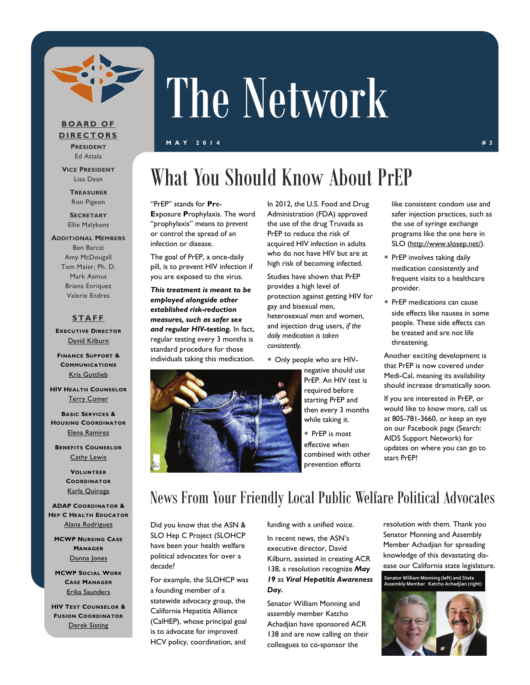

### **BOARD OF DIRECTORS**

**PRESIDENT** Ed Attala

**VICE PRESIDENT** Lisa Dean

> **TREASURER** Ron Pigeon

**SECRETARY** Ellie Malykont

#### **ADDITIONAL MEMBERS**

Ben Barczi Amy McDougall Tom Maier, Ph. D. Mark Asmus Briana Enriquez Valerie Endres

#### **STAFF**

**EXECUTIVE DIRECTOR** [David Kilburn](mailto:dkilburn@asn.org)

**FINANCE SUPPORT & COMMUNICATIONS** [Kris Gottlieb](mailto:kgottlieb@asn.org)

**HIV HEALTH COUNSELOR** [Terry Comer](mailto:TComer@asn.org)

**BASIC SERVICES & HOUSING COORDINATOR** [Elena Ramirez](mailto:eramirez@asn.org)

**BENEFITS COUNSELOR** [Cathy Lewis](mailto:CLewis@slohepc.org)

> **VOLUNTEER COORDINATOR** [Karla Quiroga](mailto:kquiroga@asn.org)

**ADAP COORDINATOR & HEP C HEALTH EDUCATOR** [Alana Rodriguez](mailto:aspence@slohepc.org)

**MCWP NURSING CASE MANAGER** [Donna Jones](mailto:djones@asn.org)

**MCWP SOCIAL WORK CASE MANAGER** [Erika Saunders](mailto:esaunders@asn.org)

**HIV TEST COUNSELOR & FUSION COORDINATOR** [Derek Sisting](mailto:dsisting@asn.org)

# The Network

#### **MAY 2014** #3

### What You Should Know About PrEP

#### "PrEP" stands for **Pr**e-

**E**xposure **P**rophylaxis. The word "prophylaxis" means to *prevent*  or control the spread of an infection or disease.

The goal of PrEP, a once-daily pill, is to prevent HIV infection if you are exposed to the virus.

*This treatment is meant to be employed alongside other established risk-reduction measures, such as safer sex and regular HIV-testing.* In fact, regular testing every 3 months is standard procedure for those individuals taking this medication. In 2012, the [U.S. Food and Drug](http://www.fda.gov/default.htm)  [Administration](http://www.fda.gov/default.htm) (FDA) approved the use of the drug [Truvada](http://www.fda.gov/ForConsumers/ConsumerUpdates/ucm311821.htm) as PrEP to reduce the risk of acquired HIV infection in adults who do not have HIV but are at high risk of becoming infected.

Studies have shown that PrEP provides a high level of protection against getting HIV for gay and bisexual men, heterosexual men and women, and injection drug users, *if the daily medication is taken consistently.* 

Only people who are HIV-

negative should use PrEP. An HIV test is required before starting PrEP and then every 3 months while taking it.

 PrEP is most effective when combined with other prevention efforts

like consistent condom use and safer injection practices, such as the use of syringe exchange programs like the one here in SLO (<http://www.slosep.net/>).

- PrEP involves taking daily medication consistently and frequent visits to a healthcare provider.
- PrEP medications can cause side effects like nausea in some people. These side effects can be treated and are not life threatening.

Another exciting development is that PrEP is now covered under Medi-Cal, meaning its availability should increase dramatically soon.

If you are interested in PrEP, or would like to know more, call us at 805-781-3660, or keep an eye on our Facebook page (Search: AIDS Support Network) for updates on where you can go to start PrEP!



### News From Your Friendly Local Public Welfare Political Advocates

Did you know that the ASN & SLO Hep C Project (SLOHCP have been your health welfare political advocates for over a decade?

For example, the SLOHCP was a founding member of a statewide advocacy group, the California Hepatitis Alliance (CalHEP), whose principal goal is to advocate for improved HCV policy, coordination, and

funding with a unified voice.

In recent news, the ASN's executive director, David Kilburn, assisted in creating ACR 138, a resolution recognize *May 19* as *Viral Hepatitis Awareness Day.* 

Senator William Monning and assembly member Katcho Achadjian have sponsored ACR 138 and are now calling on their colleagues to co-sponsor the

resolution with them. Thank you Senator Monning and Assembly Member Achadjian for spreading knowledge of this devastating disease our California state legislature.

**Senator William Monning (left) and State Assembly Member Katcho Achadjian (right)**

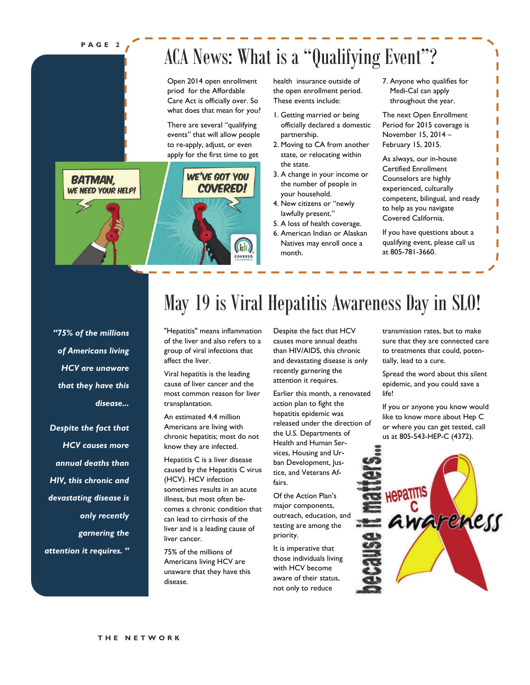#### **PAGE 2**

**BATMAN.** 

WE NEED YOUR HELP!

### ACA News: What is a "Qualifying Event"?

Open 2014 open enrollment priod for the Affordable Care Act is officially over. So what does that mean for you?

There are several "qualifying events" that will allow people to re-apply, adjust, or even apply for the first time to get

WE'VE GOT YOU

**COVERED!** 

**Gib** COVERED health insurance outside of the open enrollment period. These events include:

- 1. Getting married or being officially declared a domestic partnership.
- 2. Moving to CA from another state, or relocating within the state.
- 3. A change in your income or the number of people in your household.
- 4. New citizens or "newly lawfully present."
- 5. A loss of health coverage.
- 6. American Indian or Alaskan Natives may enroll once a month.

7. Anyone who qualifies for Medi-Cal can apply throughout the year.

The next Open Enrollment Period for 2015 coverage is November 15, 2014 – February 15, 2015.

As always, our in-house Certified Enrollment Counselors are highly experienced, culturally competent, bilingual, and ready to help as you navigate Covered California.

If you have questions about a qualifying event, please call us at 805-781-3660.

*"75% of the millions of Americans living HCV are unaware that they have this disease...* 

*Despite the fact that HCV causes more annual deaths than HIV, this chronic and devastating disease is only recently garnering the attention it requires. "* 

## May 19 is Viral Hepatitis Awareness Day in SLO!

"Hepatitis" means inflammation of the liver and also refers to a group of viral infections that affect the liver.

Viral hepatitis is the leading cause of liver cancer and the most common reason for liver transplantation.

An estimated 4.4 million Americans are living with chronic hepatitis; most do not know they are infected.

Hepatitis C is a liver disease caused by the Hepatitis C virus (HCV). HCV infection sometimes results in an acute illness, but most often becomes a chronic condition that can lead to cirrhosis of the liver and is a leading cause of liver cancer.

75% of the millions of Americans living HCV are unaware that they have this disease.

Despite the fact that HCV causes more annual deaths than HIV/AIDS, this chronic and devastating disease is only recently garnering the attention it requires.

Earlier this month, a renovated action plan to fight the hepatitis epidemic was released under the direction of the U.S. Departments of Health and Human Services, Housing and Urban Development, Justice, and Veterans Affairs.

Of the Action Plan's major components, outreach, education, and testing are among the priority.

It is imperative that those individuals living with HCV become aware of their status, not only to reduce

transmission rates, but to make sure that they are connected care to treatments that could, potentially, lead to a cure.

Spread the word about this silent epidemic, and you could save a life!

If you or anyone you know would like to know more about Hep C or where you can get tested, call us at 805-543-HEP-C (4372).

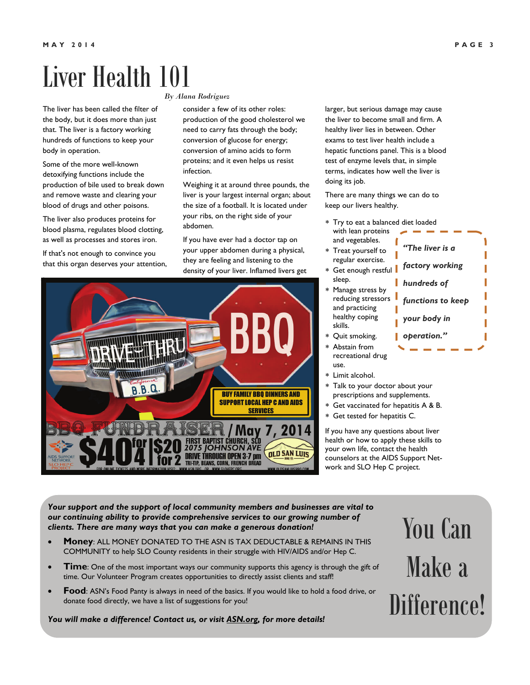# Liver Health 101

The liver has been called the filter of the body, but it does more than just that. The liver is a factory working hundreds of functions to keep your body in operation.

Some of the more well-known detoxifying functions include the production of bile used to break down and remove waste and clearing your blood of drugs and other poisons.

The liver also produces proteins for blood plasma, regulates blood clotting, as well as processes and stores iron.

If that's not enough to convince you that this organ deserves your attention,

#### *By Alana Rodriguez*

consider a few of its other roles: production of the good cholesterol we need to carry fats through the body; conversion of glucose for energy; conversion of amino acids to form proteins; and it even helps us resist infection.

Weighing it at around three pounds, the liver is your largest internal organ; about the size of a football. It is located under your ribs, on the right side of your abdomen.

If you have ever had a doctor tap on your upper abdomen during a physical, they are feeling and listening to the density of your liver. Inflamed livers get larger, but serious damage may cause the liver to become small and firm. A healthy liver lies in between. Other exams to test liver health include a hepatic functions panel. This is a blood test of enzyme levels that, in simple terms, indicates how well the liver is doing its job.

There are many things we can do to keep our livers healthy.

 Try to eat a balanced diet loaded with lean proteins

*"The liver is a* 

*factory working* 

*hundreds of* 

- and vegetables. Treat yourself to regular exercise.
- \* Get enough restful sleep.
- Manage stress by reducing stressors and practicing healthy coping skills.

Get vaccinated for hepatitis A & B.

If you have any questions about liver health or how to apply these skills to your own life, contact the health counselors at the AIDS Support Network and SLO Hep C project.

**SERVICES** 7,2014 <u>jOr</u> **OLD SAN LUIS DRIVE THROUGH OPEN 3-7 pm** 

*Your support and the support of local community members and businesses are vital to* 

- **Money**: ALL MONEY DONATED TO THE ASN IS TAX DEDUCTABLE & REMAINS IN THIS COMMUNITY to help SLO County residents in their struggle with HIV/AIDS and/or Hep C.
- **Time**: One of the most important ways our community supports this agency is through the gift of time. Our Volunteer Program creates opportunities to directly assist clients and staff!
- **Food**: ASN's Food Panty is always in need of the basics. If you would like to hold a food drive, or donate food directly, we have a list of suggestions for you!

*You will make a difference! Contact us, or visit [ASN.org,](http://www.asn.org/) for more details!* 

### *our continuing ability to provide comprehensive services to our growing number of clients. There are many ways that you can make a generous donation!*

### Quit smoking. Abstain from recreational drug use. Limit alcohol. Talk to your doctor about your prescriptions and supplements. Get tested for hepatitis C. *your body in operation."*

You Can Make a Difference!

# *functions to keep*